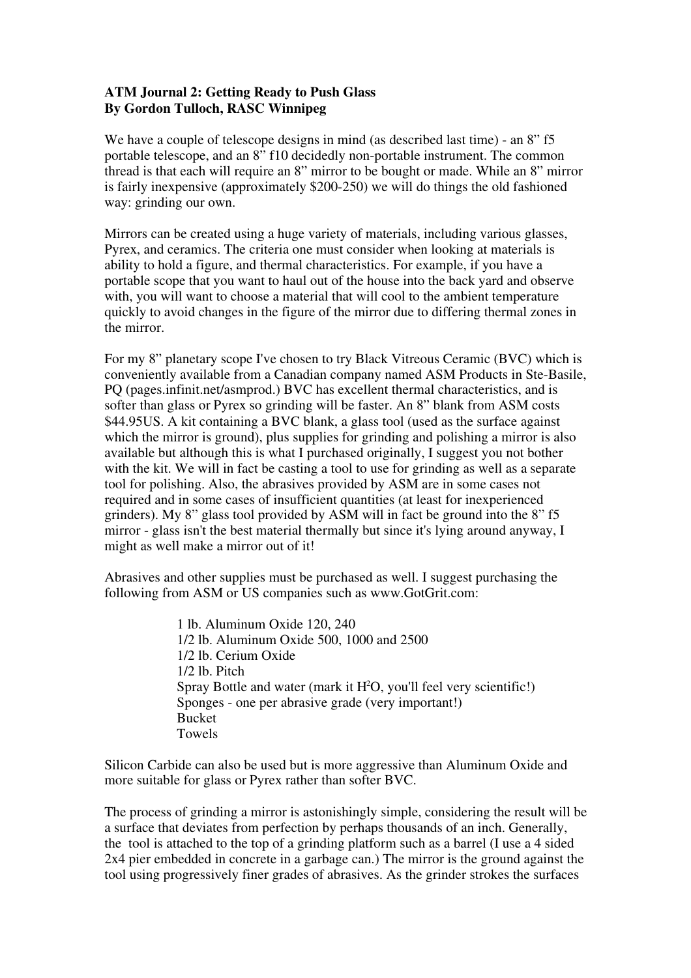## **ATM Journal 2: Getting Ready to Push Glass By Gordon Tulloch, RASC Winnipeg**

We have a couple of telescope designs in mind (as described last time) - an  $8$ " f5 portable telescope, and an 8" f10 decidedly non-portable instrument. The common thread is that each will require an 8" mirror to be bought or made. While an 8" mirror is fairly inexpensive (approximately \$200-250) we will do things the old fashioned way: grinding our own.

Mirrors can be created using a huge variety of materials, including various glasses, Pyrex, and ceramics. The criteria one must consider when looking at materials is ability to hold a figure, and thermal characteristics. For example, if you have a portable scope that you want to haul out of the house into the back yard and observe with, you will want to choose a material that will cool to the ambient temperature quickly to avoid changes in the figure of the mirror due to differing thermal zones in the mirror.

For my 8" planetary scope I've chosen to try Black Vitreous Ceramic (BVC) which is conveniently available from a Canadian company named ASM Products in Ste-Basile, PQ (pages.infinit.net/asmprod.) BVC has excellent thermal characteristics, and is softer than glass or Pyrex so grinding will be faster. An 8" blank from ASM costs \$44.95US. A kit containing a BVC blank, a glass tool (used as the surface against which the mirror is ground), plus supplies for grinding and polishing a mirror is also available but although this is what I purchased originally, I suggest you not bother with the kit. We will in fact be casting a tool to use for grinding as well as a separate tool for polishing. Also, the abrasives provided by ASM are in some cases not required and in some cases of insufficient quantities (at least for inexperienced grinders). My 8" glass tool provided by ASM will in fact be ground into the 8" f5 mirror - glass isn't the best material thermally but since it's lying around anyway, I might as well make a mirror out of it!

Abrasives and other supplies must be purchased as well. I suggest purchasing the following from ASM or US companies such as www.GotGrit.com:

> 1 lb. Aluminum Oxide 120, 240 1/2 lb. Aluminum Oxide 500, 1000 and 2500 1/2 lb. Cerium Oxide 1/2 lb. Pitch Spray Bottle and water (mark it  $H<sup>2</sup>O$ , you'll feel very scientific!) Sponges - one per abrasive grade (very important!) Bucket Towels

Silicon Carbide can also be used but is more aggressive than Aluminum Oxide and more suitable for glass or Pyrex rather than softer BVC.

The process of grinding a mirror is astonishingly simple, considering the result will be a surface that deviates from perfection by perhaps thousands of an inch. Generally, the tool is attached to the top of a grinding platform such as a barrel (I use a 4 sided 2x4 pier embedded in concrete in a garbage can.) The mirror is the ground against the tool using progressively finer grades of abrasives. As the grinder strokes the surfaces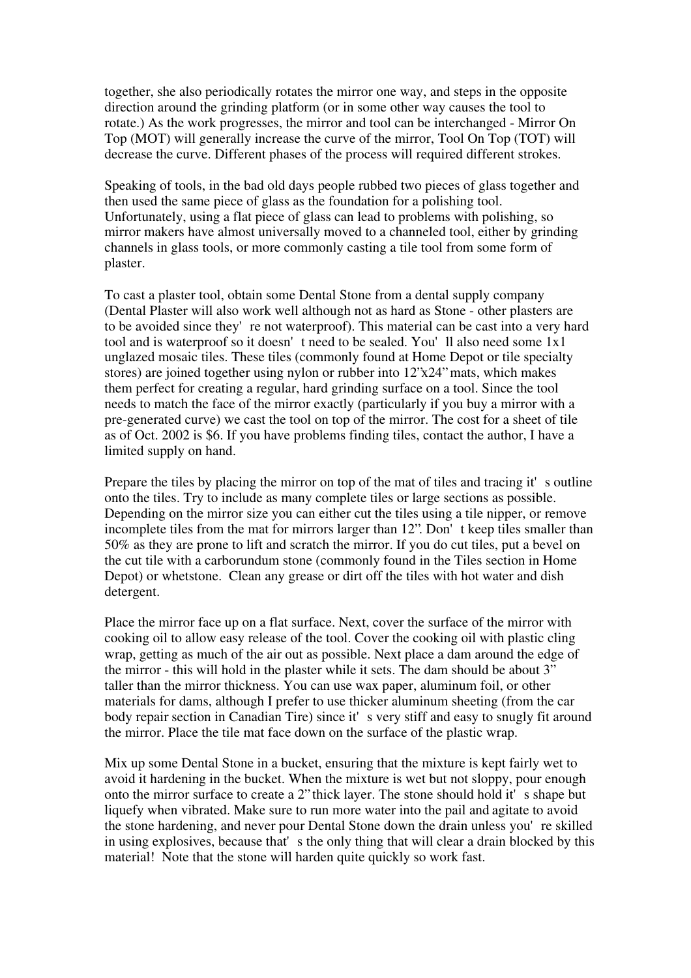together, she also periodically rotates the mirror one way, and steps in the opposite direction around the grinding platform (or in some other way causes the tool to rotate.) As the work progresses, the mirror and tool can be interchanged - Mirror On Top (MOT) will generally increase the curve of the mirror, Tool On Top (TOT) will decrease the curve. Different phases of the process will required different strokes.

Speaking of tools, in the bad old days people rubbed two pieces of glass together and then used the same piece of glass as the foundation for a polishing tool. Unfortunately, using a flat piece of glass can lead to problems with polishing, so mirror makers have almost universally moved to a channeled tool, either by grinding channels in glass tools, or more commonly casting a tile tool from some form of plaster.

To cast a plaster tool, obtain some Dental Stone from a dental supply company (Dental Plaster will also work well although not as hard as Stone - other plasters are to be avoided since they're not waterproof). This material can be cast into a very hard tool and is waterproof so it doesn't need to be sealed. You'll also need some 1x1 unglazed mosaic tiles. These tiles (commonly found at Home Depot or tile specialty stores) are joined together using nylon or rubber into 12"x24" mats, which makes them perfect for creating a regular, hard grinding surface on a tool. Since the tool needs to match the face of the mirror exactly (particularly if you buy a mirror with a pre-generated curve) we cast the tool on top of the mirror. The cost for a sheet of tile as of Oct. 2002 is \$6. If you have problems finding tiles, contact the author, I have a limited supply on hand.

Prepare the tiles by placing the mirror on top of the mat of tiles and tracing it's outline onto the tiles. Try to include as many complete tiles or large sections as possible. Depending on the mirror size you can either cut the tiles using a tile nipper, or remove incomplete tiles from the mat for mirrors larger than 12". Don't keep tiles smaller than 50% as they are prone to lift and scratch the mirror. If you do cut tiles, put a bevel on the cut tile with a carborundum stone (commonly found in the Tiles section in Home Depot) or whetstone. Clean any grease or dirt off the tiles with hot water and dish detergent.

Place the mirror face up on a flat surface. Next, cover the surface of the mirror with cooking oil to allow easy release of the tool. Cover the cooking oil with plastic cling wrap, getting as much of the air out as possible. Next place a dam around the edge of the mirror - this will hold in the plaster while it sets. The dam should be about 3" taller than the mirror thickness. You can use wax paper, aluminum foil, or other materials for dams, although I prefer to use thicker aluminum sheeting (from the car body repair section in Canadian Tire) since it's very stiff and easy to snugly fit around the mirror. Place the tile mat face down on the surface of the plastic wrap.

Mix up some Dental Stone in a bucket, ensuring that the mixture is kept fairly wet to avoid it hardening in the bucket. When the mixture is wet but not sloppy, pour enough onto the mirror surface to create a 2" thick layer. The stone should hold it's shape but liquefy when vibrated. Make sure to run more water into the pail and agitate to avoid the stone hardening, and never pour Dental Stone down the drain unless you're skilled in using explosives, because that's the only thing that will clear a drain blocked by this material! Note that the stone will harden quite quickly so work fast.